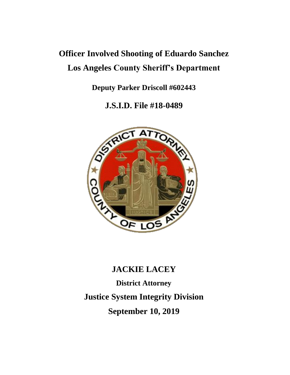# **Officer Involved Shooting of Eduardo Sanchez Los Angeles County Sheriff's Department**

**Deputy Parker Driscoll #602443**

**J.S.I.D. File #18-0489**



## **JACKIE LACEY**

**District Attorney Justice System Integrity Division September 10, 2019**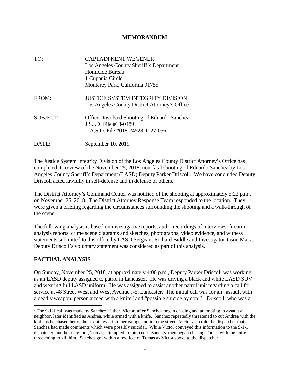#### **MEMORANDUM**

| TO:             | <b>CAPTAIN KENT WEGENER</b><br>Los Angeles County Sheriff's Department<br>Homicide Bureau<br>1 Cupania Circle<br>Monterey Park, California 91755 |
|-----------------|--------------------------------------------------------------------------------------------------------------------------------------------------|
| FROM:           | <b>JUSTICE SYSTEM INTEGRITY DIVISION</b><br>Los Angeles County District Attorney's Office                                                        |
| <b>SUBJECT:</b> | <b>Officer Involved Shooting of Eduardo Sanchez</b><br>J.S.I.D. File #18-0489<br>L.A.S.D. File #018-24528-1127-056                               |
| DATE:           | September 10, 2019                                                                                                                               |

The Justice System Integrity Division of the Los Angeles County District Attorney's Office has completed its review of the November 25, 2018, non-fatal shooting of Eduardo Sanchez by Los Angeles County Sheriff's Department (LASD) Deputy Parker Driscoll. We have concluded Deputy Driscoll acted lawfully in self-defense and in defense of others.

The District Attorney's Command Center was notified of the shooting at approximately 5:22 p.m., on November 25, 2018. The District Attorney Response Team responded to the location. They were given a briefing regarding the circumstances surrounding the shooting and a walk-through of the scene.

The following analysis is based on investigative reports, audio recordings of interviews, firearm analysis reports, crime scene diagrams and sketches, photographs, video evidence, and witness statements submitted to this office by LASD Sergeant Richard Biddle and Investigator Jason Marx. Deputy Driscoll's voluntary statement was considered as part of this analysis.

#### **FACTUAL ANALYSIS**

On Sunday, November 25, 2018, at approximately 4:00 p.m., Deputy Parker Driscoll was working as an LASD deputy assigned to patrol in Lancaster. He was driving a black and white LASD SUV and wearing full LASD uniform. He was assigned to assist another patrol unit regarding a call for service at 48 Street West and West Avenue J-5, Lancaster. The initial call was for an "assault with a deadly weapon, person armed with a knife" and "possible suicide by cop."<sup>1</sup> Driscoll, who was a

<sup>&</sup>lt;sup>1</sup> The 9-1-1 call was made by Sanchez' father, Victor, after Sanchez began chasing and attempting to assault a neighbor, later identified as Andrea, while armed with a knife. Sanchez repeatedly threatened to cut Andrea with the knife as he chased her on her front lawn, into her garage and into the street. Victor also told the dispatcher that Sanchez had made comments which were possibly suicidal. While Victor conveyed this information to the 9-1-1 dispatcher, another neighbor, Tomas, attempted to intercede. Sanchez then began chasing Tomas with the knife threatening to kill him. Sanchez got within a few feet of Tomas as Victor spoke to the dispatcher.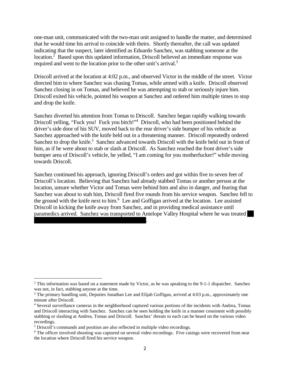one-man unit, communicated with the two-man unit assigned to handle the matter, and determined that he would time his arrival to coincide with theirs. Shortly thereafter, the call was updated indicating that the suspect, later identified as Eduardo Sanchez, was stabbing someone at the location.<sup>2</sup> Based upon this updated information, Driscoll believed an immediate response was required and went to the location prior to the other unit's arrival.<sup>3</sup>

Driscoll arrived at the location at 4:02 p.m., and observed Victor in the middle of the street. Victor directed him to where Sanchez was chasing Tomas, while armed with a knife. Driscoll observed Sanchez closing in on Tomas, and believed he was attempting to stab or seriously injure him. Driscoll exited his vehicle, pointed his weapon at Sanchez and ordered him multiple times to stop and drop the knife.

Sanchez diverted his attention from Tomas to Driscoll. Sanchez began rapidly walking towards Driscoll yelling, "Fuck you! Fuck you bitch!"<sup>4</sup> Driscoll, who had been positioned behind the driver's side door of his SUV, moved back to the rear driver's side bumper of his vehicle as Sanchez approached with the knife held out in a threatening manner. Driscoll repeatedly ordered Sanchez to drop the knife.<sup>5</sup> Sanchez advanced towards Driscoll with the knife held out in front of him, as if he were about to stab or slash at Driscoll. As Sanchez reached the front driver's side bumper area of Driscoll's vehicle, he yelled, "I am coming for you motherfucker!" while moving towards Driscoll.

Sanchez continued his approach, ignoring Driscoll's orders and got within five to seven feet of Driscoll's location. Believing that Sanchez had already stabbed Tomas or another person at the location, unsure whether Victor and Tomas were behind him and also in danger, and fearing that Sanchez was about to stab him, Driscoll fired five rounds from his service weapon. Sanchez fell to the ground with the knife next to him.<sup>6</sup> Lee and Goffigan arrived at the location. Lee assisted Driscoll in kicking the knife away from Sanchez, and in providing medical assistance until paramedics arrived. Sanchez was transported to Antelope Valley Hospital where he was treated

.

<sup>&</sup>lt;sup>2</sup> This information was based on a statement made by Victor, as he was speaking to the 9-1-1 dispatcher. Sanchez was not, in fact, stabbing anyone at the time.

<sup>&</sup>lt;sup>3</sup> The primary handling unit, Deputies Jonathan Lee and Elijah Goffigan, arrived at 4:03 p.m., approximately one minute after Driscoll.

<sup>4</sup> Several surveillance cameras in the neighborhood captured various portions of the incidents with Andrea, Tomas and Driscoll interacting with Sanchez. Sanchez can be seen holding the knife in a manner consistent with possibly stabbing or slashing at Andrea, Tomas and Driscoll. Sanchez' threats to each can be heard on the various video recordings.

<sup>5</sup> Driscoll's commands and position are also reflected in multiple video recordings.

<sup>&</sup>lt;sup>6</sup> The officer involved shooting was captured on several video recordings. Five casings were recovered from near the location where Driscoll fired his service weapon.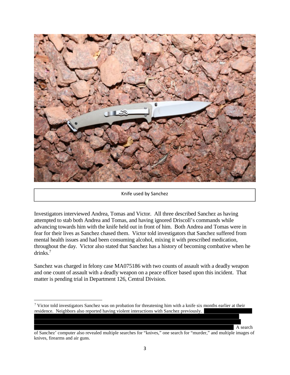

#### Knife used by Sanchez

Investigators interviewed Andrea, Tomas and Victor. All three described Sanchez as having attempted to stab both Andrea and Tomas, and having ignored Driscoll's commands while advancing towards him with the knife held out in front of him. Both Andrea and Tomas were in fear for their lives as Sanchez chased them. Victor told investigators that Sanchez suffered from mental health issues and had been consuming alcohol, mixing it with prescribed medication, throughout the day. Victor also stated that Sanchez has a history of becoming combative when he drinks.<sup>7</sup>

Sanchez was charged in felony case MA075186 with two counts of assault with a deadly weapon and one count of assault with a deadly weapon on a peace officer based upon this incident. That matter is pending trial in Department 126, Central Division.

A search

<sup>&</sup>lt;sup>7</sup> Victor told investigators Sanchez was on probation for threatening him with a knife six months earlier at their residence. Neighbors also reported having violent interactions with Sanchez previously.

of Sanchez' computer also revealed multiple searches for "knives," one search for "murder," and multiple images of knives, firearms and air guns.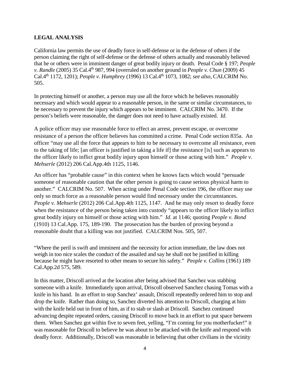#### **LEGAL ANALYSIS**

California law permits the use of deadly force in self-defense or in the defense of others if the person claiming the right of self-defense or the defense of others actually and reasonably believed that he or others were in imminent danger of great bodily injury or death. Penal Code § 197; *People v. Randle* (2005) 35 Cal.4th 987, 994 (overruled on another ground in *People v. Chun* (2009) 45 Cal.4th 1172, 1201); *People v. Humphrey* (1996) 13 Cal.4th 1073, 1082; *see also,* CALCRIM No. 505.

In protecting himself or another, a person may use all the force which he believes reasonably necessary and which would appear to a reasonable person, in the same or similar circumstances, to be necessary to prevent the injury which appears to be imminent. CALCRIM No. 3470. If the person's beliefs were reasonable, the danger does not need to have actually existed. *Id.*

A police officer may use reasonable force to effect an arrest, prevent escape, or overcome resistance of a person the officer believes has committed a crime. Penal Code section 835a. An officer "may use all the force that appears to him to be necessary to overcome all resistance, even to the taking of life; [an officer is justified in taking a life if] the resistance [is] such as appears to the officer likely to inflict great bodily injury upon himself or those acting with him." *People v. Mehserle* (2012) 206 Cal.App.4th 1125, 1146.

An officer has "probable cause" in this context when he knows facts which would "persuade someone of reasonable caution that the other person is going to cause serious physical harm to another." CALCRIM No. 507. When acting under Penal Code section 196, the officer may use only so much force as a reasonable person would find necessary under the circumstances. *People v. Mehserle* (2012) 206 Cal.App.4th 1125, 1147. And he may only resort to deadly force when the resistance of the person being taken into custody "appears to the officer likely to inflict great bodily injury on himself or those acting with him." *Id.* at 1146; quoting *People v. Bond* (1910) 13 Cal.App. 175, 189-190. The prosecution has the burden of proving beyond a reasonable doubt that a killing was not justified. CALCRIM Nos. 505, 507.

"Where the peril is swift and imminent and the necessity for action immediate, the law does not weigh in too nice scales the conduct of the assailed and say he shall not be justified in killing because he might have resorted to other means to secure his safety." *People v. Collins* (1961) 189 Cal.App.2d 575, 589.

In this matter, Driscoll arrived at the location after being advised that Sanchez was stabbing someone with a knife. Immediately upon arrival, Driscoll observed Sanchez chasing Tomas with a knife in his hand. In an effort to stop Sanchez' assault, Driscoll repeatedly ordered him to stop and drop the knife. Rather than doing so, Sanchez diverted his attention to Driscoll, charging at him with the knife held out in front of him, as if to stab or slash at Driscoll. Sanchez continued advancing despite repeated orders, causing Driscoll to move back in an effort to put space between them. When Sanchez got within five to seven feet, yelling, "I'm coming for you motherfucker!" it was reasonable for Driscoll to believe he was about to be attacked with the knife and respond with deadly force. Additionally, Driscoll was reasonable in believing that other civilians in the vicinity